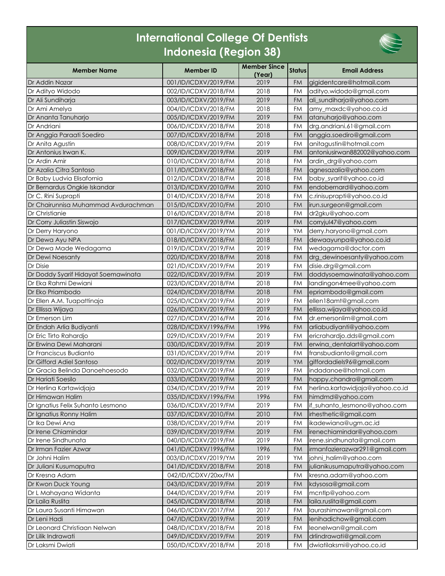## **International College Of Dentists Indonesia (Region 38)**



| <b>Member Name</b>                  | <b>Member ID</b>     | <b>Member Since</b><br>(Year) | <b>Status</b> | <b>Email Address</b>             |
|-------------------------------------|----------------------|-------------------------------|---------------|----------------------------------|
| Dr Addin Nazar                      | 001/ID/ICDXV/2019/FM | 2019                          | <b>FM</b>     | gigidentcare@hotmail.com         |
| Dr Adityo Widodo                    | 002/ID/ICDXV/2018/FM | 2018                          | <b>FM</b>     | adityo.widodo@gmail.com          |
| Dr Ali Sundiharja                   | 003/ID/ICDXV/2019/FM | 2019                          | FM            | ali_sundiharja@yahoo.com         |
| Dr Ami Amelya                       | 004/ID/ICDXV/2018/FM | 2018                          | FM            | amy_maxdc@yahoo.co.id            |
| Dr Ananta Tanuharjo                 | 005/ID/ICDXV/2019/FM | 2019                          | <b>FM</b>     | atanuharjo@yahoo.com             |
| Dr Andriani                         | 006/ID/ICDXV/2018/FM | 2018                          | <b>FM</b>     | drg.andriani.61@gmail.com        |
| Dr Anggia Paraati Soediro           | 007/ID/ICDXV/2018/FM | 2018                          | FM            | anggia.soediro@gmail.com         |
| Dr Anita Agustin                    | 008/ID/ICDXV/2019/FM | 2019                          | FM            | anitagustin@hotmail.com          |
| Dr Antonius Irwan K.                | 009/ID/ICDXV/2019/FM | 2019                          | <b>FM</b>     | antoniusirwan882002@yahoo.com    |
| Dr Ardin Amir                       | 010/ID/ICDXV/2018/FM | 2018                          | <b>FM</b>     | ardin_drg@yahoo.com              |
| Dr Azalia Citra Santoso             | 011/ID/ICDXV/2018/FM | 2018                          | <b>FM</b>     | agnesazalia@yahoo.com            |
| Dr Baby Ludvia Elisafornia          | 012/ID/ICDXV/2018/FM | 2018                          | <b>FM</b>     | baby_syarif@yahoo.co.id          |
| Dr Bernardus Ongkie Iskandar        | 013/ID/ICDXV/2010/FM | 2010                          | <b>FM</b>     | endobernard@yahoo.com            |
| Dr C. Rini Suprapti                 | 014/ID/ICDXV/2018/FM | 2018                          | <b>FM</b>     | c.rinisuprapti@yahoo.co.id       |
| Dr Chairunnisa Muhammad Avdurachman | 015/ID/ICDXV/2010/FM | 2010                          | FM            | irun.surgeon@gmail.com           |
| Dr Christianie                      | 016/ID/ICDXV/2018/FM | 2018                          | <b>FM</b>     | dr2gku@yahoo.com                 |
| Dr Corry Juliastin Siswojo          | 017/ID/ICDXV/2019/FM | 2019                          | <b>FM</b>     | corryjul47@yahoo.com             |
| Dr Derry Haryono                    | 001/ID/ICDXV/2019/YM | 2019                          | YM            | derry.haryono@gmail.com          |
| Dr Dewa Ayu NPA                     | 018/ID/ICDXV/2018/FM | 2018                          | <b>FM</b>     | dewaayunpa@yahoo.co.id           |
| Dr Dewa Made Wedagama               | 019/ID/ICDXV/2019/FM | 2019                          | <b>FM</b>     | wedagama@doctor.com              |
| Dr Dewi Noesanty                    | 020/ID/ICDXV/2018/FM | 2018                          | FM            | drg_dewinoesanty@yahoo.com       |
| Dr Disie                            | 021/ID/ICDXV/2019/FM | 2019                          | <b>FM</b>     | disie.drg@gmail.com              |
| Dr Doddy Syarif Hidayat Soemawinata | 022/ID/ICDXV/2019/FM | 2019                          | FM            | doddysoemawinata@yahoo.com       |
| Dr Eka Rahmi Dewiani                | 023/ID/ICDXV/2018/FM | 2018                          | FM            | landingon4mee@yahoo.com          |
| Dr Eko Priambodo                    | 024/ID/ICDXV/2018/FM | 2018                          | <b>FM</b>     | epriambodo@gmail.com             |
| Dr Ellen A.M. Tuapattinaja          | 025/ID/ICDXV/2019/FM | 2019                          | FM            | ellen18amt@gmail.com             |
| Dr Ellissa Wijaya                   | 026/ID/ICDXV/2019/FM | 2019                          | <b>FM</b>     | ellissa.wijaya@yahoo.co.id       |
| Dr Emerson Lim                      | 027/ID/ICDXV/2016/FM | 2016                          | <b>FM</b>     | dr.emersonlim@gmail.com          |
| Dr Endah Arlia Budiyanti            | 028/ID/ICDXV/1996/FM | 1996                          | FM            | arliabudiyanti@yahoo.com         |
| Dr Eric Tirto Rahardjo              | 029/ID/ICDXV/2019/FM | 2019                          | FM            | ericrahardjo.dds@gmail.com       |
| Dr Erwing Dewi Maharani             | 030/ID/ICDXV/2019/FM | 2019                          | <b>FM</b>     | erwina_dentalart@yahoo.com       |
| Dr Franciscus Budianto              | 031/ID/ICDXV/2019/FM | 2019                          | <b>FM</b>     | fransbudianto@gmail.com          |
| Dr Gifford Adiel Santoso            | 002/ID/ICDXV/2019/YM | 2019                          | YM            | giffordadiels96@gmail.com        |
| Dr Gracia Belinda Danoehoesodo      | 032/ID/ICDXV/2019/FM | 2019                          | <b>FM</b>     | indadanoe@hotmail.com            |
| Dr Hariati Soesilo                  | 033/ID/ICDXV/2019/FM | 2019                          | <b>FM</b>     | happy.chandra@gmail.com          |
| Dr Herlina Kartawidjaja             | 034/ID/ICDXV/2019/FM | 2019                          | FM            | herlina.kartawidjaja@yahoo.co.id |
| Dr Himawan Halim                    | 035/ID/ICDXV/1996/FM | 1996                          | FM            | himdmd@yahoo.com                 |
| Dr Ignatius Felix Suhanto Lesmono   | 036/ID/ICDXV/2019/FM | 2019                          | FM            | if_suhanto_lesmono@yahoo.com     |
| Dr Ignatius Ronny Halim             | 037/ID/ICDXV/2010/FM | 2010                          | <b>FM</b>     | irhesthetic@gmail.com            |
| Dr Ika Dewi Ana                     | 038/ID/ICDXV/2019/FM | 2019                          | FM            | ikadewiana@ugm.ac.id             |
| Dr Irene Chiamindar                 | 039/ID/ICDXV/2019/FM | 2019                          | <b>FM</b>     | irenechiamindar@yahoo.com        |
| Dr Irene Sindhunata                 | 040/ID/ICDXV/2019/FM | 2019                          | FM            | irene.sindhunata@gmail.com       |
| Dr Irman Fazier Azwar               | 041/ID/ICDXV/1996/FM | 1996                          | FM            | irmanfazierazwar291@gmail.com    |
| Dr Johni Halim                      | 003/ID/ICDXV/2019/YM | 2019                          | YM            | johni_halim@yahoo.com            |
| Dr Juliani Kusumaputra              | 041/ID/ICDXV/2018/FM | 2018                          | <b>FM</b>     | julianikusumaputra@yahoo.com     |
| Dr Kresna Adam                      | 042/ID/ICDXV/20xx/FM |                               | FM            | kresna.adam@yahoo.com            |
| Dr Kwon Duck Young                  | 043/ID/ICDXV/2019/FM | 2019                          | <b>FM</b>     | kdysosa@gmail.com                |
| Dr L Mahayana Widanta               | 044/ID/ICDXV/2019/FM | 2019                          | FM            | mcntlp@yahoo.com                 |
| Dr Laila Ruslita                    | 045/ID/ICDXV/2018/FM | 2018                          | <b>FM</b>     | laila.ruslita@gmail.com          |
| Dr Laura Susanti Himawan            | 046/ID/ICDXV/2017/FM | 2017                          | FM            | laurashimawan@gmail.com          |
| Dr Leni Hadi                        | 047/ID/ICDXV/2019/FM | 2019                          | <b>FM</b>     | lenihadichow@gmail.com           |
| Dr Leonard Christiaan Nelwan        | 048/ID/ICDXV/2018/FM | 2018                          | FM            | leonelwan@gmail.com              |
| Dr Lilik Indrawati                  | 049/ID/ICDXV/2019/FM | 2019                          | <b>FM</b>     | drlindrawati@gmail.com           |
| Dr Laksmi Dwiati                    | 050/ID/ICDXV/2018/FM | 2018                          | FM            | dwiatilaksmi@yahoo.co.id         |